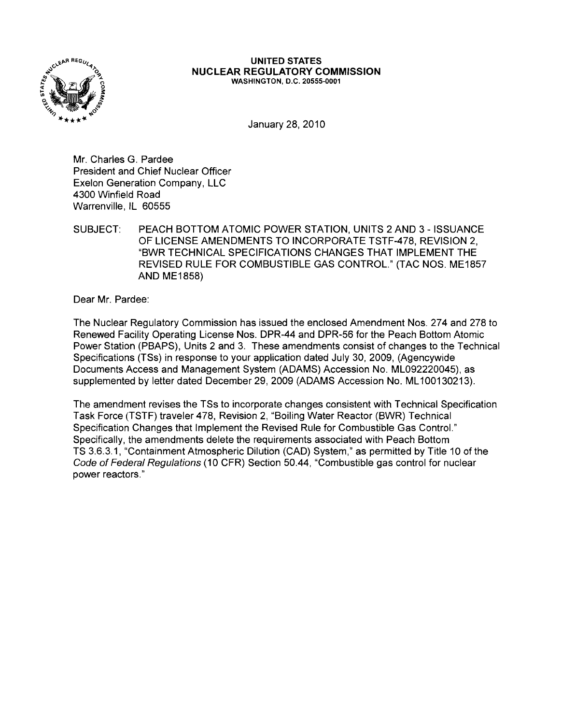

#### **UNITED STATES NUCLEAR REGULATORY COMMISSION** WASHINGTON, D.C. 20555-0001

January 28, 2010

Mr. Charles G. Pardee President and Chief Nuclear Officer Exelon Generation Company, LLC 4300 Winfield Road Warrenville, IL 60555

SUBJECT: PEACH BOTTOM ATOMIC POWER STATION, UNITS 2 AND 3 - ISSUANCE OF LICENSE AMENDMENTS TO INCORPORATE TSTF-478, REVISION 2, "BWR TECHNICAL SPECIFICATIONS CHANGES THAT IMPLEMENT THE REVISED RULE FOR COMBUSTIBLE GAS CONTROL." (TAC NOS. ME1857 AND ME1858)

Dear Mr. Pardee:

The Nuclear Regulatory Commission has issued the enclosed Amendment Nos. 274 and 278 to Renewed Facility Operating License Nos. DPR-44 and DPR-56 for the Peach Bottom Atomic Power Station (PBAPS), Units 2 and 3. These amendments consist of changes to the Technical Specifications (TSs) in response to your application dated July 30, 2009, (Agencywide Documents Access and Management System (ADAMS) Accession No. ML092220045), as supplemented by letter dated December 29, 2009 (ADAMS Accession No. ML100130213).

The amendment revises the TSs to incorporate changes consistent with Technical Specification Task Force (TSTF) traveler 478, Revision 2, "Boiling Water Reactor (BWR) Technical Specification Changes that Implement the Revised Rule for Combustible Gas Control." Specifically, the amendments delete the requirements associated with Peach Bottom TS 3.6.3.1, "Containment Atmospheric Dilution (CAD) System," as permitted by Title 10 of the Code of Federal Regulations (10 CFR) Section 50.44, "Combustible gas control for nuclear power reactors."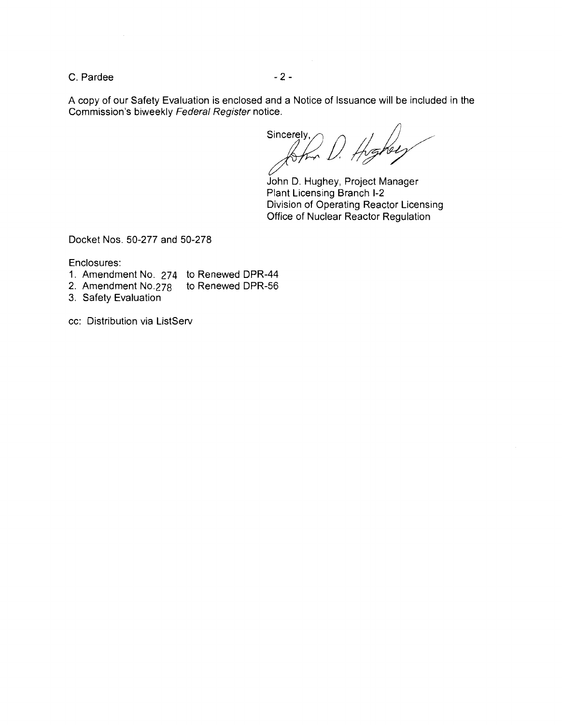$C.$  Pardee  $-2-$ 

A copy of our Safety Evaluation is enclosed and a Notice of Issuance will be included in the

Commission's biweekly Federal Register notice.<br>Sincerely,  $\bigcap_{n \in \mathbb{N}} \bigcap_{n \in \mathbb{N}} \bigcap_{n \in \mathbb{N}}$ 

John D. Hughey, Project Manager Plant Licensing Branch 1-2 Division of Operating Reactor Licensing Office of Nuclear Reactor Regulation

Docket Nos. 50-277 and 50-278

Enclosures:

- 1. Amendment No. 274 to Renewed DPR-44
- 2. Amendment No.278 to Renewed DPR-56
- 3. Safety Evaluation
- cc: Distribution via ListServ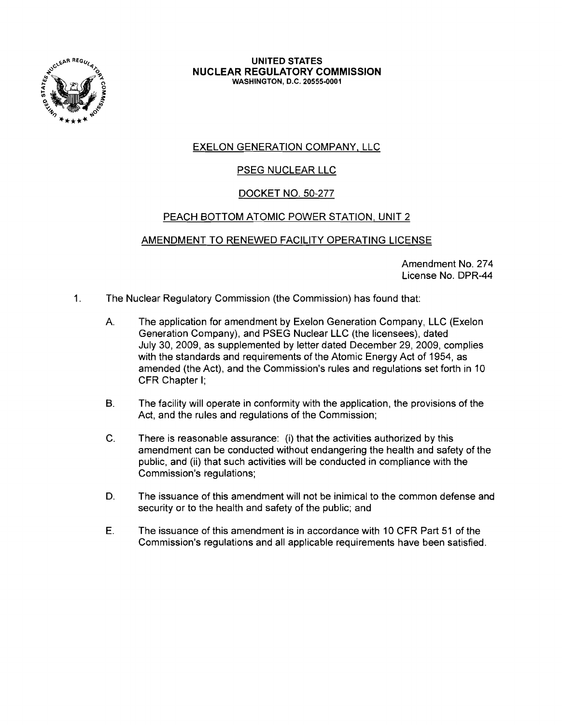

**UNITED STATES NUCLEAR REGULATORY COMMISSION** WASHINGTON, D.C. 20555-0001

# EXELON GENERATION COMPANY, LLC

## PSEG NUCLEAR LLC

### DOCKET NO. 50-277

### PEACH BOTTOM ATOMIC POWER STATION, UNIT 2

### AMENDMENT TO RENEWED FACILITY OPERATING LICENSE

Amendment No. 274 License No. DPR-44

- 1. The Nuclear Regulatory Commission (the Commission) has found that:
	- A. The application for amendment by Exelon Generation Company, LLC (Exelon Generation Company), and PSEG Nuclear LLC (the licensees), dated July 30,2009, as supplemented by letter dated December 29,2009, complies with the standards and requirements of the Atomic Energy Act of 1954, as amended (the Act), and the Commission's rules and regulations set forth in 10 CFR Chapter I;
	- B. The facility will operate in conformity with the application, the provisions of the Act, and the rules and regulations of the Commission;
	- C. There is reasonable assurance: (i) that the activities authorized by this amendment can be conducted without endangering the health and safety of the public, and (ii) that such activities will be conducted in compliance with the Commission's regulations;
	- D. The issuance of this amendment will not be inimical to the common defense and security or to the health and safety of the public; and
	- E. The issuance of this amendment is in accordance with 10 CFR Part 51 of the Commission's regulations and all applicable requirements have been satisfied.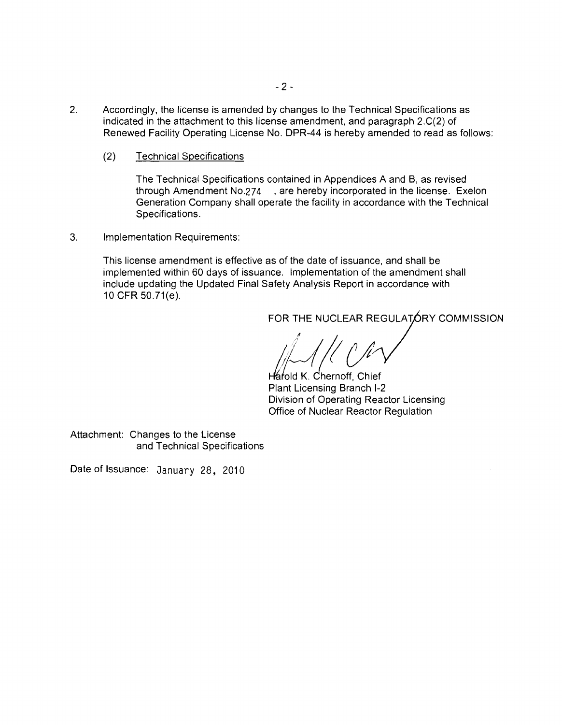- 2. Accordingly, the license is amended by changes to the Technical Specifications as indicated in the attachment to this license amendment, and paragraph 2.C(2) of Renewed Facility Operating License No. DPR-44 is hereby amended to read as follows:
	- (2) Technical Specifications

The Technical Specifications contained in Appendices A and B, as revised through Amendment No.274 , are hereby incorporated in the license. Exelon Generation Company shall operate the facility in accordance with the Technical Specifications.

3. Implementation Requirements:

This license amendment is effective as of the date of issuance, and shall be implemented within 60 days of issuance. Implementation of the amendment shall include updating the Updated Final Safety Analysis Report in accordance with 10 CFR 50.71(e).<br>FOR THE NUCLEAR REGULATORY COMMISSION

Harold K. Chernoff, Chief Plant Licensing Branch 1-2 Division of Operating Reactor Licensing Office of Nuclear Reactor Regulation

Attachment: Changes to the License and Technical Specifications

Date of Issuance: January 28, 2010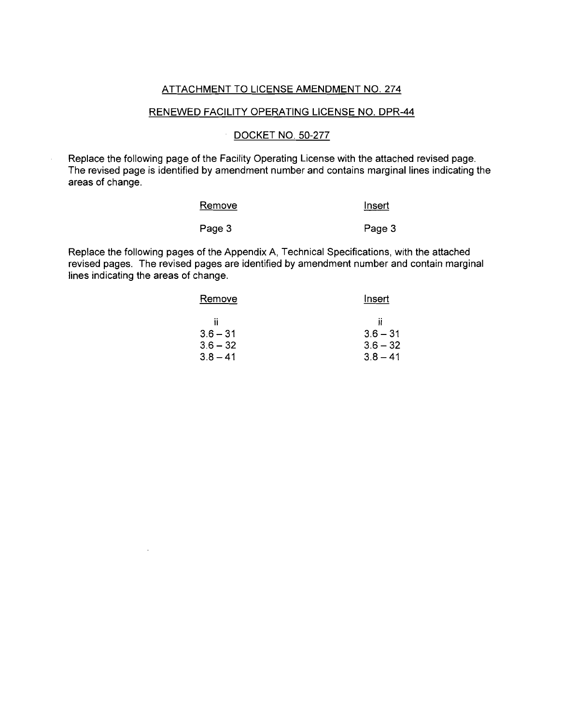#### ATTACHMENT TO LICENSE AMENDMENT NO. 274

### RENEWED FACILITY OPERATING LICENSE NO. DPR-44

### DOCKET NO. 50-277

Replace the following page of the Facility Operating License with the attached revised page. The revised page is identified by amendment number and contains marginal lines indicating the areas of change.

| Remove | Insert |
|--------|--------|
| Page 3 | Page 3 |

Replace the following pages of the Appendix A, Technical Specifications, with the attached revised paqes, The revised pages are identified by amendment number and contain marginal lines indicating the areas of change.

 $\lambda$ 

| Remove     | Insert       |
|------------|--------------|
| Ħ          | $\mathbf{u}$ |
| $3.6 - 31$ | $3.6 - 31$   |
| $3.6 - 32$ | $3.6 - 32$   |
| $3.8 - 41$ | $3.8 - 41$   |
|            |              |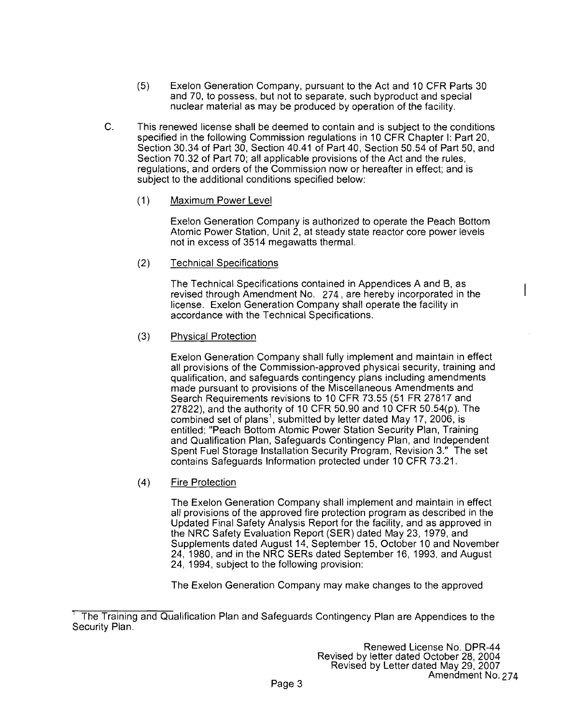- (5) Exelon Generation Company, pursuant to the Act and 10 CFR Parts 30 and 70, to possess, but not to separate, such byproduct and special nuclear material as may be produced by operation of the facility.
- C. This renewed license shall be deemed to contain and is subject to the conditions specified in the following Commission regulations in 10 CFR Chapter I: Part 20, Section 30.34 of Part 30, Section 40.41 of Part 40, Section 50.54 of Part 50, and Section 70.32 of Part 70; all applicable provisions of the Act and the rules, regulations, and orders of the Commission now or hereafter in effect; and is subject to the additional conditions specified below:
	- (1) Maximum Power Level

Exelon Generation Company is authorized to operate the Peach Bottom Atomic Power Station, Unit 2, at steady state reactor core power levels not in excess of 3514 megawatts thermal.

(2) Technical Specifications

The Technical Specifications contained in Appendices A and B, as revised through Amendment No. 274, are hereby incorporated in the license. Exelon Generation Company shall operate the facility in accordance with the Technical Specifications.

(3) Physical Protection

Exelon Generation Company shall fully implement and maintain in effect all provisions of the Commission-approved physical security, training and qualification, and safeguards contingency plans including amendments made pursuant to provisions of the Miscellaneous Amendments and Search Requirements revisions to 10 CFR 73.55 (51 FR 27817 and 27822), and the authority of 10 CFR 50.90 and 10 CFR 50.54(p). The combined set of plans<sup>1</sup>, submitted by letter dated May 17, 2006, is entitled: "Peach Bottom Atomic Power Station Security Plan, Training and Qualification Plan, Safeguards Contingency Plan, and Independent Spent Fuel Storage Installation Security Program, Revision 3." The set contains Safeguards Information protected under 10 CFR 73.21.

(4) Fire Protection

The Exelon Generation Company shall implement and maintain in effect all provisions of the approved fire protection program as described in the Updated Final Safety Analysis Report for the facility, and as approved in the NRC Safety Evaluation Report (SER) dated May 23, 1979, and Supplements dated August 14, September 15, October 10 and November 24, 1980, and in the NRC SERs dated September 16, 1993, and August 24, 1994, subject to the following provision:

The Exelon Generation Company may make changes to the approved

The Training and Qualification Plan and Safeguards Contingency Plan are Appendices to the Security Plan.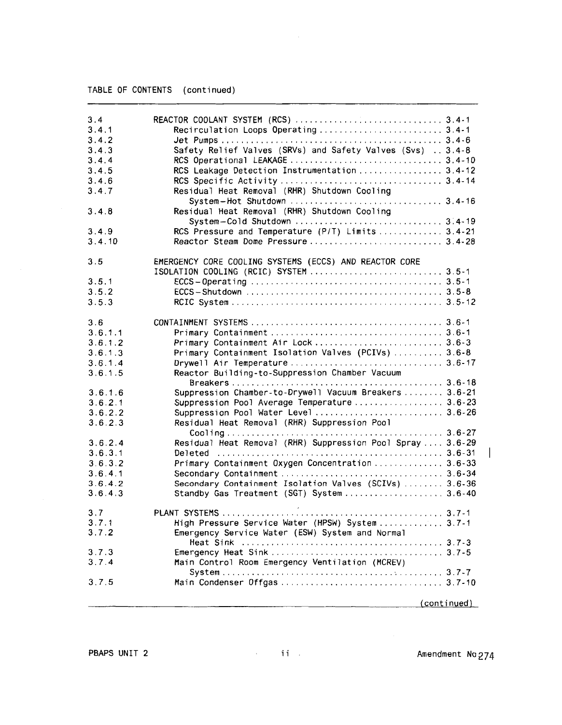| 3.4<br>3.4.1<br>3.4.2<br>3.4.3<br>3.4.4<br>3.4.5<br>3.4.6<br>3.4.7<br>3.4.8<br>3.4.9<br>3.4.10 | Safety Relief Valves (SRVs) and Safety Valves (Svs)  3.4-8<br>RCS Leakage Detection Instrumentation 3.4-12<br>Residual Heat Removal (RHR) Shutdown Cooling<br>Residual Heat Removal (RHR) Shutdown Cooling<br>RCS Pressure and Temperature (P/T) Limits  3.4-21 |
|------------------------------------------------------------------------------------------------|-----------------------------------------------------------------------------------------------------------------------------------------------------------------------------------------------------------------------------------------------------------------|
| 3.5                                                                                            | EMERGENCY CORE COOLING SYSTEMS (ECCS) AND REACTOR CORE                                                                                                                                                                                                          |
|                                                                                                |                                                                                                                                                                                                                                                                 |
| 3.5.1                                                                                          |                                                                                                                                                                                                                                                                 |
| 3.5.2                                                                                          |                                                                                                                                                                                                                                                                 |
| 3.5.3                                                                                          |                                                                                                                                                                                                                                                                 |
| 3.6                                                                                            |                                                                                                                                                                                                                                                                 |
| 3.6.1.1                                                                                        |                                                                                                                                                                                                                                                                 |
| 3.6.1.2                                                                                        |                                                                                                                                                                                                                                                                 |
| 3.6.1.3                                                                                        | Primary Containment Isolation Valves (PCIVs)  3.6-8                                                                                                                                                                                                             |
| 3.6.1.4                                                                                        |                                                                                                                                                                                                                                                                 |
| 3.6.1.5                                                                                        | Reactor Building-to-Suppression Chamber Vacuum                                                                                                                                                                                                                  |
| 3.6.1.6                                                                                        | Suppression Chamber-to-Drywell Vacuum Breakers  3.6-21                                                                                                                                                                                                          |
| 3.6.2.1                                                                                        | Suppression Pool Average Temperature 3.6-23                                                                                                                                                                                                                     |
| 3.6.2.2                                                                                        | Suppression Pool Water Level  3.6-26                                                                                                                                                                                                                            |
| 3.6.2.3                                                                                        | Residual Heat Removal (RHR) Suppression Pool                                                                                                                                                                                                                    |
|                                                                                                |                                                                                                                                                                                                                                                                 |
| 3.6.2.4                                                                                        | Residual Heat Removal (RHR) Suppression Pool Spray  3.6-29                                                                                                                                                                                                      |
| 3.6.3.1                                                                                        |                                                                                                                                                                                                                                                                 |
| 3.6.3.2                                                                                        | Primary Containment Oxygen Concentration  3.6-33                                                                                                                                                                                                                |
| 3.641                                                                                          |                                                                                                                                                                                                                                                                 |
| 3.6.4.2                                                                                        | Secondary Containment Isolation Valves (SCIVs)  3.6-36                                                                                                                                                                                                          |
| 3.6.4.3                                                                                        | Standby Gas Treatment (SGT) System  3.6-40                                                                                                                                                                                                                      |
| 3.7                                                                                            |                                                                                                                                                                                                                                                                 |
| 3.7.1                                                                                          | High Pressure Service Water (HPSW) System 3.7-1                                                                                                                                                                                                                 |
| 3.7.2                                                                                          | Emergency Service Water (ESW) System and Normal                                                                                                                                                                                                                 |
| 3.7.3                                                                                          |                                                                                                                                                                                                                                                                 |
| 3.7.4                                                                                          | Main Control Room Emergency Ventilation (MCREV)                                                                                                                                                                                                                 |
|                                                                                                |                                                                                                                                                                                                                                                                 |
| 3.7.5                                                                                          |                                                                                                                                                                                                                                                                 |
|                                                                                                | (continued)                                                                                                                                                                                                                                                     |
|                                                                                                |                                                                                                                                                                                                                                                                 |

 $\begin{array}{c} \hline \end{array}$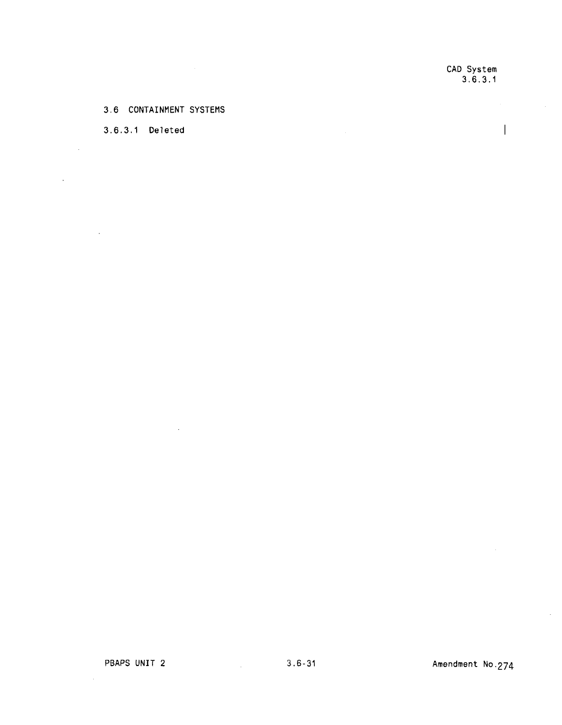CAD System 3.6.3.1

 $\overline{\phantom{a}}$ 

#### 3.6 CONTAINMENT SYSTEMS

 $\sim$ 

#### 3.6.3.1 Deleted

 $\sim$   $\sim$ 

 $\sim$ 

 $\bar{z}$ 

 $\sim$ 

 $\mathcal{A}$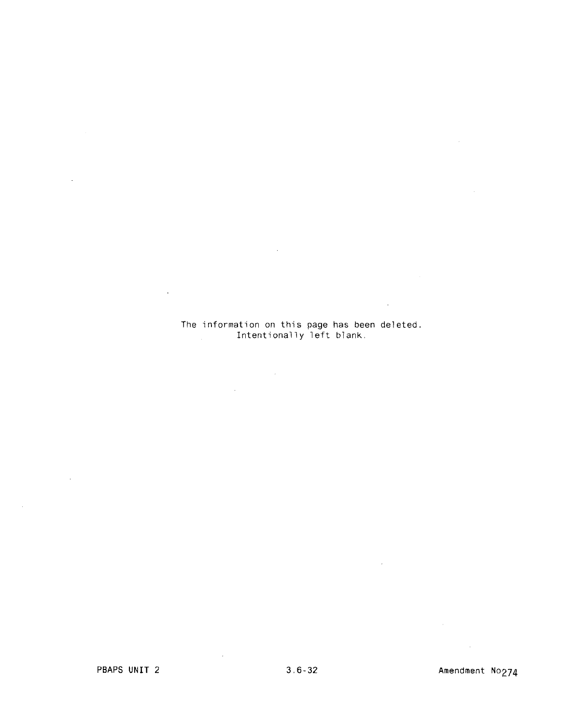### The information on this page has been deleted. Intentionally left blank,

 $\sim$ 

 $\sim$   $\epsilon$ 

 $\mathcal{A}$ 

 $\mathcal{L}^{\text{max}}_{\text{max}}$  and  $\mathcal{L}^{\text{max}}_{\text{max}}$ 

 $\sim 10^{-11}$ 

 $\bar{z}$ 

 $\sim 10^{-10}$ 

 $\mathcal{L}$ 

 $\sim 10^{11}$  km  $^{-1}$ 

 $\mathcal{L}_{\mathcal{A}}$ 

 $\sim 10^7$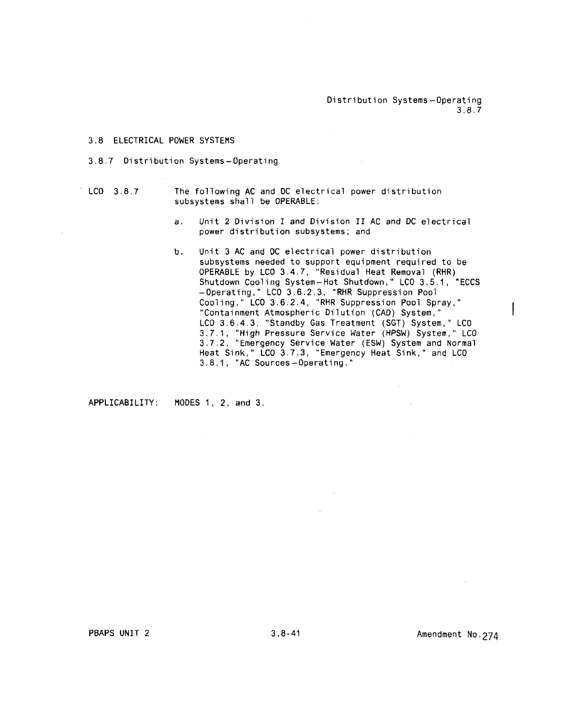Distribution Systems-Operating 3.8.7

 $\mathcal{L}^{\mathcal{L}}$ 

#### 3.8 ELECTRICAL POWER SYSTEMS

#### 3,8.7 Distribution Systems-Operating

- LCO 3.8.7 The following AC and DC electrical power distribution subsystems shall be OPERABLE:
	- a. Unit 2 Division I and Division II AC and DC electrical power distribution subsystems; and

 $\sim 10^{-1}$ 

b. Unit 3 AC and DC electrical power distribution subsystems needed to support equipment required to be OPERABLE by LCD 3,4,7. "Residual Heat Removal (RHR) Shutdown Cooling System-Hot Shutdown." LCD 3.5,1, "ECCS -Operating," LCD 3.6.2.3. "RHR Suppression Pool Cooling." LCD 3.6,2,4, "RHR Suppression Pool Spray," "Containment Atmospheric Dilution (CAD) System," LCO 3.6.4.3, "Standby Gas Treatment (SGT) System," LCD 3.7,1. "High Pressure Service Water (HPSW) System," LCD 3.7.2, "Emergency Service Water (ESW) System and Normal Heat Sink," LCO 3,7.3, "Emergency Heat Sink," and LCD 3,8.1. "AC Sources-Operating."

APPLICABILITY: MODES 1, 2, and 3.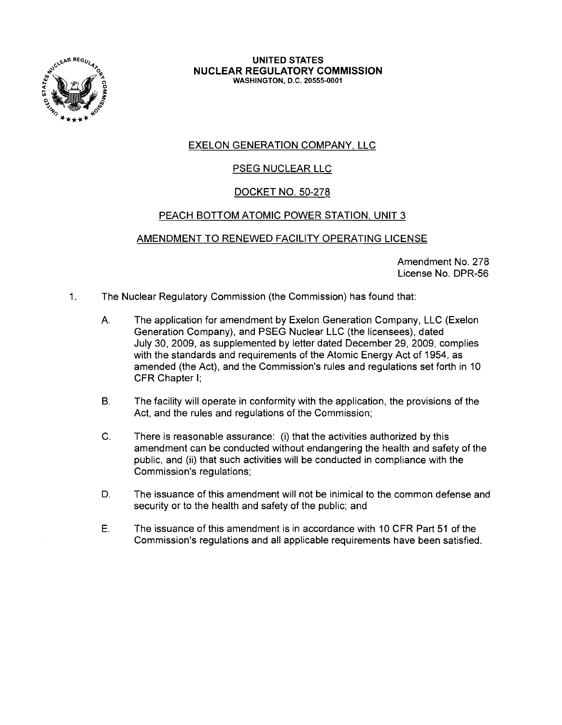

#### UNITED STATES NUCLEAR REGULATORY COMMISSION WASHINGTON, D.C. 20555-0001

# EXELON GENERATION COMPANY, LLC

# PSEG NUCLEAR LLC

## DOCKET NO. 50-278

## PEACH BOTTOM ATOMIC POWER STATION, UNIT 3

### AMENDMENT TO RENEWED FACILITY OPERATING LICENSE

Amendment No. 278 License No. DPR-56

- 1. The Nuclear Regulatory Commission (the Commission) has found that:
	- A. The application for amendment by Exelon Generation Company, LLC (Exelon Generation Company), and PSEG Nuclear LLC (the licensees), dated July 30, 2009, as supplemented by letter dated December 29, 2009, complies with the standards and requirements of the Atomic Energy Act of 1954, as amended (the Act), and the Commission's rules and regulations set forth in 10 CFR Chapter I;
	- B. The facility will operate in conformity with the application, the provisions of the Act, and the rules and regulations of the Commission;
	- C. There is reasonable assurance: (i) that the activities authorized by this amendment can be conducted without endangering the health and safety of the public, and (ii) that such activities will be conducted in compliance with the Commission's regulations;
	- D. The issuance of this amendment will not be inimical to the common defense and security or to the health and safety of the public; and
	- E. The issuance of this amendment is in accordance with 10 CFR Part 51 of the Commission's regulations and all applicable requirements have been satisfied.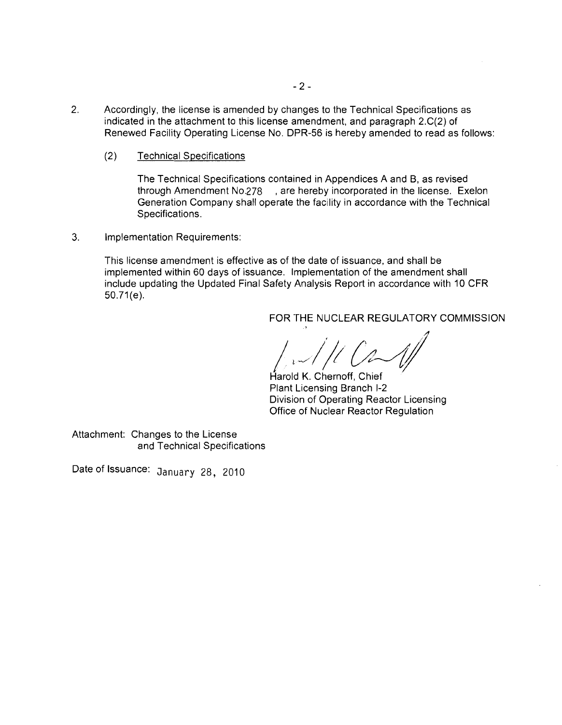- 2. Accordingly, the license is amended by changes to the Technical Specifications as indicated in the attachment to this license amendment, and paragraph 2.C(2) of Renewed Facility Operating License No. DPR-56 is hereby amended to read as follows:
	- (2) Technical Specifications

The Technical Specifications contained in Appendices A and B, as revised through Amendment No.278 , are hereby incorporated in the license. Exelon Generation Company shall operate the facility in accordance with the Technical Specifications.

3. Implementation Requirements:

This license amendment is effective as of the date of issuance, and shall be implemented within 60 days of issuance. Implementation of the amendment shall include updating the Updated Final Safety Analysis Report in accordance with 10 CFR 50.71(e).

### FOR THE NUCLEAR REGULATORY COMMISSION

*I*,~//; *Ct-JI* 

Harold K. Chernoff, Chief Plant Licensing Branch 1-2 Division of Operating Reactor Licensing Office of Nuclear Reactor Regulation

Attachment: Changes to the License and Technical Specifications

Date of Issuance: January 28, 2010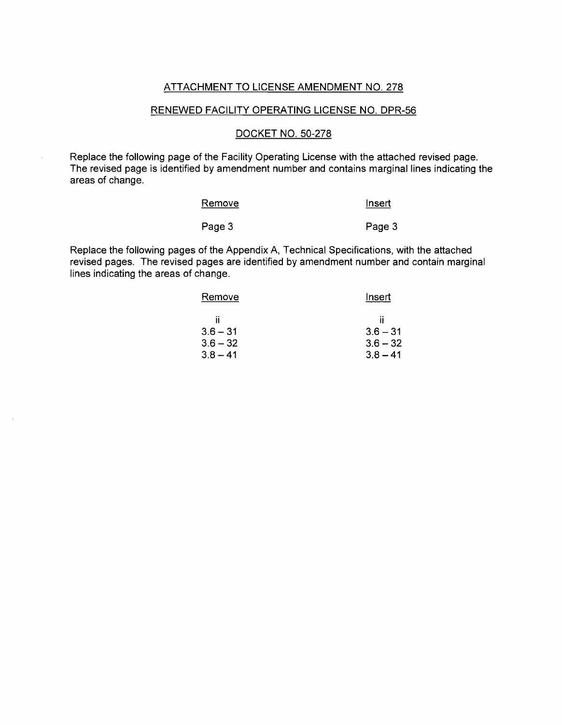#### ATTACHMENT TO LICENSE AMENDMENT NO. 278

#### RENEWED FACILITY OPERATING LICENSE NO. DPR-56

#### DOCKET NO. 50-278

Replace the following page of the Facility Operating License with the attached revised page. The revised page is identified by amendment number and contains marginal lines indicating the areas of change.

| Remove | Insert |
|--------|--------|
| Page 3 | Page 3 |

Replace the following pages of the Appendix A, Technical Specifications, with the attached revised pages. The revised pages are identified by amendment number and contain marginal lines indicating the areas of change.

| Insert     |
|------------|
| Ħ          |
| $3.6 - 31$ |
| $3.6 - 32$ |
| $3.8 - 41$ |
|            |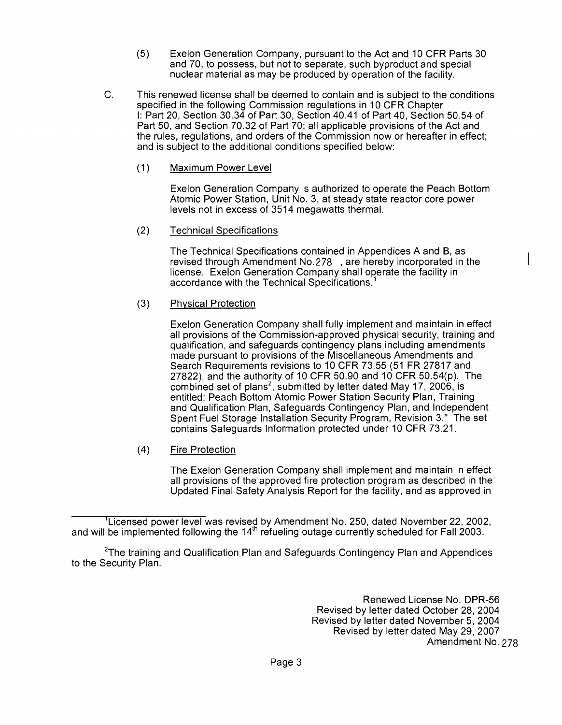- (5) Exelon Generation Company, pursuant to the Act and 10 CFR Parts 30 and 70, to possess, but not to separate, such byproduct and special nuclear material as may be produced by operation of the facility.
- C. This renewed license shall be deemed to contain and is subject to the conditions specified in the following Commission regulations in 10 CFR Chapter I: Part 20, Section 30.34 of Part 30, Section 40.41 of Part 40, Section 50.54 of Part 50, and Section 70.32 of Part 70; all applicable provisions of the Act and the rules, regulations, and orders of the Commission now or hereafter in effect; and is subject to the additional conditions specified below:
	- (1) Maximum Power Level

Exelon Generation Company is authorized to operate the Peach Bottom Atomic Power Station, Unit No.3, at steady state reactor core power levels not in excess of 3514 megawatts thermal.

(2) Technical Specifications

The Technical Specifications contained in Appendices A and B, as revised through Amendment No.278 , are hereby incorporated in the license. Exelon Generation Company shall operate the facility in accordance with the Technical Specifications.<sup>1</sup>

### (3) Physical Protection

Exelon Generation Company shall fully implement and maintain in effect all provisions of the Commission-approved physical security, training and qualification, and safeguards contingency plans including amendments made pursuant to provisions of the Miscellaneous Amendments and Search Requirements revisions to 10 CFR 73.55 (51 FR 27817 and 27822), and the authority of 10 CFR 50.90 and 10 CFR 50.54(p). The combined set of plans<sup>2</sup>, submitted by letter dated May 17, 2006, is entitled: Peach Bottom Atomic Power Station Security Plan, Training and Qualification Plan, Safeguards Contingency Plan, and Independent Spent Fuel Storage Installation Security Program, Revision 3." The set contains Safeguards Information protected under 10 CFR 73.21.

(4) Fire Protection

The Exelon Generation Company shall implement and maintain in effect all provisions of the approved fire protection program as described in the Updated Final Safety Analysis Report for the facility, and as approved in

'Licensed power level was revised by Amendment No. 250, dated November 22,2002, and will be implemented following the 14<sup>th</sup> refueling outage currently scheduled for Fall 2003.

<sup>2</sup>The training and Qualification Plan and Safeguards Contingency Plan and Appendices to the Security Plan.

> Renewed License No. DPR-56 Revised by letter dated October 28, 2004 Revised by letter dated November 5,2004 Revised by letter dated May 29, 2007 Amendment No. 278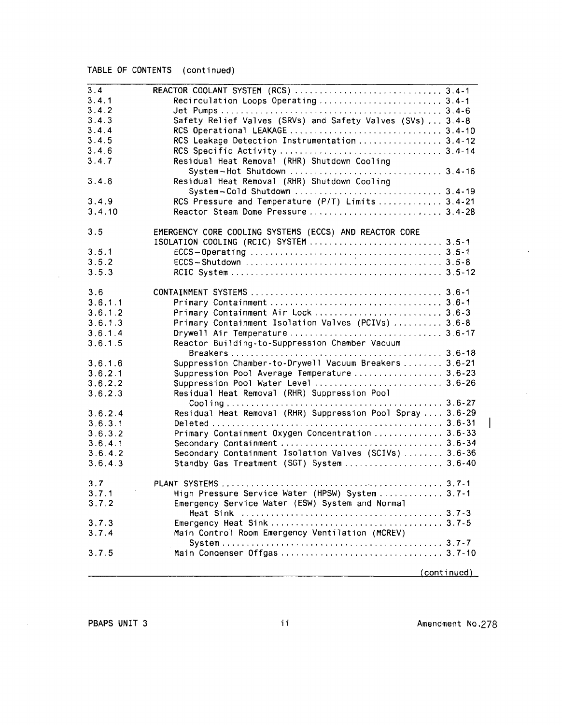# TABLE OF CONTENTS (continued)

| 3.4     |                                                            |
|---------|------------------------------------------------------------|
| 3.4.1   | Recirculation Loops Operating  3.4-1                       |
| 3.4.2   |                                                            |
| 3.4.3   | Safety Relief Valves (SRVs) and Safety Valves (SVs)  3.4-8 |
| 3.4.4   |                                                            |
| 3.4.5   | RCS Leakage Detection Instrumentation  3.4-12              |
|         |                                                            |
| 3.4.6   |                                                            |
| 3.4.7   | Residual Heat Removal (RHR) Shutdown Cooling               |
|         |                                                            |
| 3.4.8   | Residual Heat Removal (RHR) Shutdown Cooling               |
|         |                                                            |
| 3.4.9   | RCS Pressure and Temperature (P/T) Limits  3.4-21          |
| 3.4.10  |                                                            |
| 3.5     | EMERGENCY CORE COOLING SYSTEMS (ECCS) AND REACTOR CORE     |
|         |                                                            |
| 3.5.1   |                                                            |
| 3.5.2   |                                                            |
| 3.5.3   |                                                            |
|         |                                                            |
| 3.6     |                                                            |
| 3.6.1.1 |                                                            |
| 3.6.12  | Primary Containment Air Lock  3.6-3                        |
| 3.6.1.3 | Primary Containment Isolation Valves (PCIVs)  3.6-8        |
| 3.6.1.4 |                                                            |
| 3.6.1.5 | Reactor Building-to-Suppression Chamber Vacuum             |
| 3.6.1.6 | Suppression Chamber-to-Drywell Vacuum Breakers  3.6-21     |
| 3.6.2.1 | Suppression Pool Average Temperature 3.6-23                |
| 3.6.2.2 | Suppression Pool Water Level  3.6-26                       |
|         |                                                            |
| 3.6.2.3 | Residual Heat Removal (RHR) Suppression Pool               |
|         |                                                            |
| 3.6.2.4 | Residual Heat Removal (RHR) Suppression Pool Spray  3.6-29 |
| 3.6.3.1 |                                                            |
| 3.6.3.2 | Primary Containment Oxygen Concentration  3.6-33           |
| 3.6.4.1 |                                                            |
| 3.6.4.2 | Secondary Containment Isolation Valves (SCIVs)  3.6-36     |
| 3.6.4.3 | Standby Gas Treatment (SGT) System  3.6-40                 |
| 3.7     |                                                            |
| 3.7.1   | High Pressure Service Water (HPSW) System 3.7-1            |
| 3.7.2   | Emergency Service Water (ESW) System and Normal            |
|         |                                                            |
| 3.7.3   |                                                            |
| 3.7.4   | Main Control Room Emergency Ventilation (MCREV)            |
|         |                                                            |
| 3.7.5   |                                                            |
|         | (continued)                                                |

 $\mathcal{L}_{\mathcal{A}}$ 

 $\sim$ 

 $\sim$ 

 $\overline{\phantom{a}}$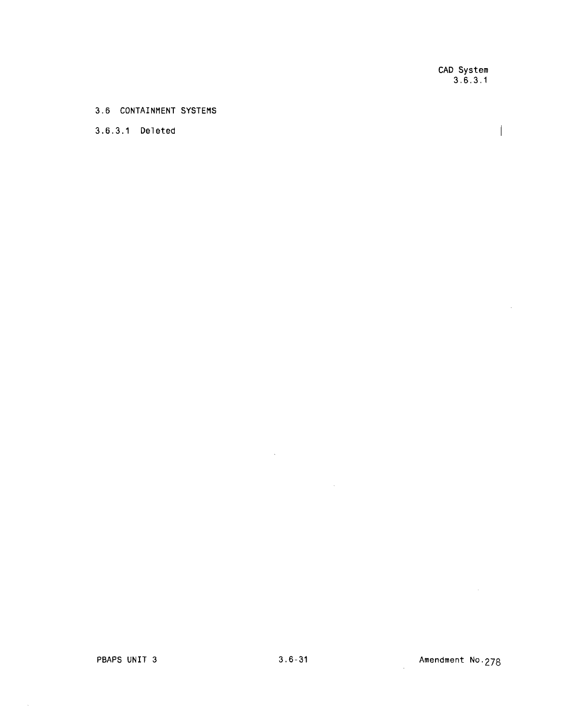CAD System 3.6.3.1

 $\overline{\phantom{a}}$ 

 $\sim 10^7$ 

#### 3.6 CONTAINMENT SYSTEMS

## 3.6.3.1 Deleted

 $\mathcal{A}^{\mathcal{A}}$ 

 $\mathcal{L}^{\text{max}}_{\text{max}}$  and  $\mathcal{L}^{\text{max}}_{\text{max}}$ 

 $\mathcal{L}^{\text{max}}_{\text{max}}$  ,  $\mathcal{L}^{\text{max}}_{\text{max}}$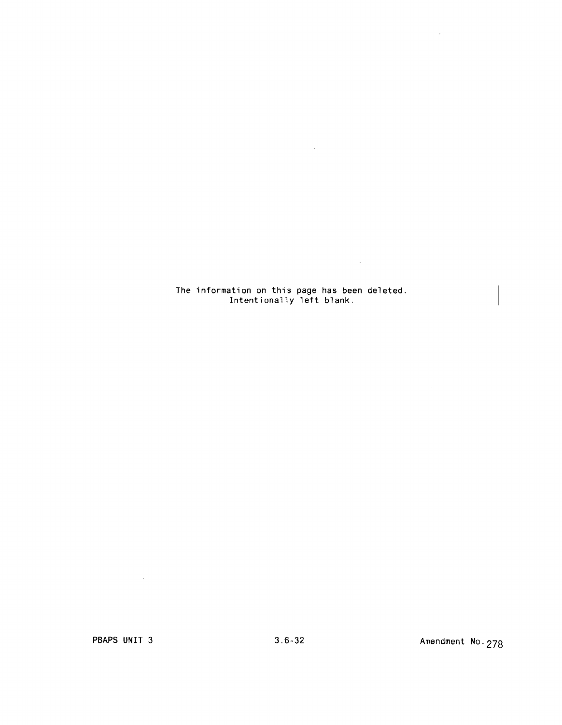The information on this page has been deleted. Intentionally left blank.

 $\label{eq:2.1} \frac{1}{\sqrt{2}}\left(\frac{1}{\sqrt{2}}\right)^{2} \left(\frac{1}{\sqrt{2}}\right)^{2} \left(\frac{1}{\sqrt{2}}\right)^{2} \left(\frac{1}{\sqrt{2}}\right)^{2} \left(\frac{1}{\sqrt{2}}\right)^{2} \left(\frac{1}{\sqrt{2}}\right)^{2} \left(\frac{1}{\sqrt{2}}\right)^{2} \left(\frac{1}{\sqrt{2}}\right)^{2} \left(\frac{1}{\sqrt{2}}\right)^{2} \left(\frac{1}{\sqrt{2}}\right)^{2} \left(\frac{1}{\sqrt{2}}\right)^{2} \left(\$ 

 $\mathcal{L}(\mathcal{L}^{\text{max}}_{\mathcal{L}}(\mathbf{x}))$  .

 $\mathcal{L}^{\text{max}}_{\text{max}}$  and  $\mathcal{L}^{\text{max}}_{\text{max}}$ 

 $\mathcal{L}(\mathcal{L}^{\mathcal{L}})$  and  $\mathcal{L}(\mathcal{L}^{\mathcal{L}})$  and  $\mathcal{L}(\mathcal{L}^{\mathcal{L}})$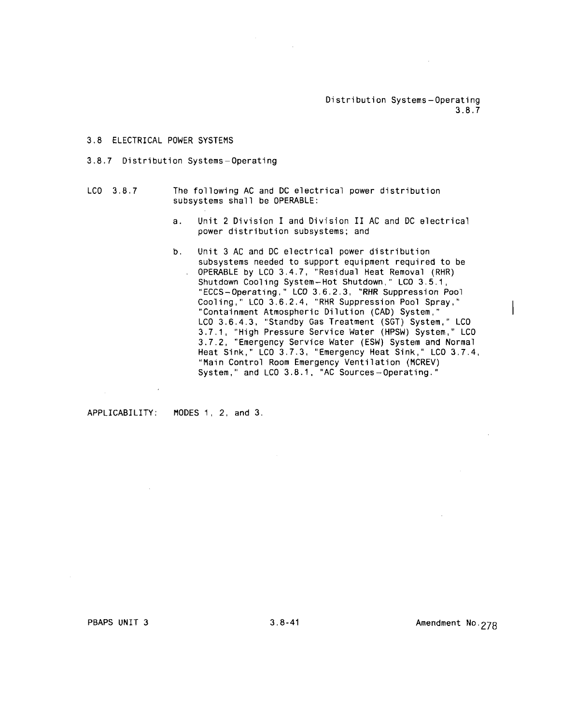Distribution Systems-Operating 3.8.7

#### 3.8 ELECTRICAL POWER SYSTEMS

#### 3.8.7 Distribution Systems-Operating

- LCO 3.8.7 The following AC and DC electrical power distribution sUbsystems shall be OPERABLE:
	- a. Unit 2 Division I and Division II AC and DC electrical power distribution subsystems; and
	- b. Unit 3 AC and DC electrical power distribution subsystems needed to support equipment required to be OPERABLE by LCO 3.4.7, "Residual Heat Removal (RHR) Shutdown Cooling System-Hot Shutdown," LCO 3.5.1, "ECCS-Operating," LCO 3.6.2.3, "RHR Suppression Pool Cooling," LCO 3.6.2.4, "RHR Suppression Pool Spray," "Containment Atmospheric Dilution (CAD) System," LCO 3.6.4.3, "Standby Gas Treatment (SGT) System," LCO 3.7.1, "High Pressure Service Water (HPSW) System." LCO 3.7.2, "Emergency Service Water (ESW) System and Normal Heat Sink," LCO 3.7.3, "Emergency Heat Sink," LCO 3.7.4, "Main Control Room Emergency Ventilation (MCREV) System," and  $LOO 3.8.1$ , "AC Sources-Operating."

APPLICABILITY: MODES 1, 2, and 3.

PBAPS UNIT 3 3.8-41 Amendment No. 278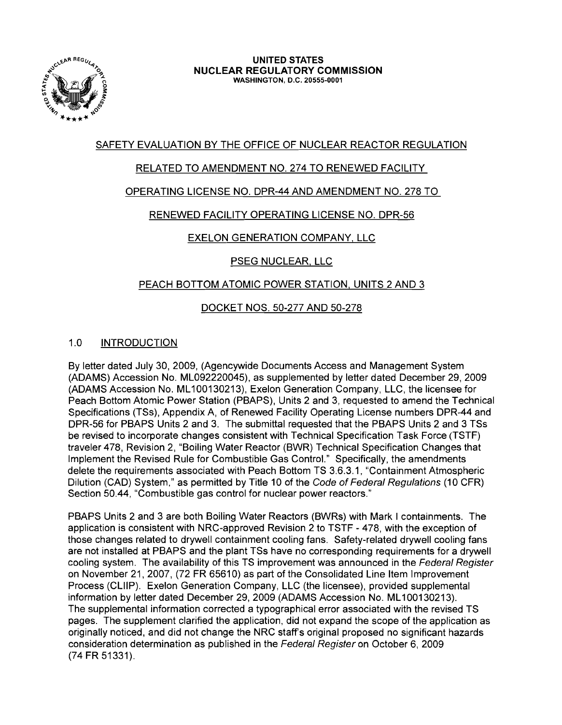

# SAFETY EVALUATION BY THE OFFICE OF NUCLEAR REACTOR REGULATION

# RELATED TO AMENDMENT NO. 274 TO RENEWED FACILITY

# OPERATING LICENSE NO. DPR-44 AND AMENDMENT NO. 278 TO

# RENEWED FACILITY OPERATING LICENSE NO. DPR-56

# EXELON GENERATION COMPANY, LLC

# PSEG NUCLEAR, LLC

# PEACH BOTTOM ATOMIC POWER STATION, UNITS 2 AND 3

# DOCKET NOS. 50-277 AND 50-278

# 1.0 INTRODUCTION

By letter dated July 30,2009, (Agencywide Documents Access and Management System (ADAMS) Accession No. ML092220045), as supplemented by letter dated December 29,2009 (ADAMS Accession No. ML100130213), Exelon Generation Company, LLC, the licensee for Peach Bottom Atomic Power Station (PBAPS), Units 2 and 3, requested to amend the Technical Specifications (TSs), Appendix A, of Renewed Facility Operating License numbers DPR-44 and DPR-56 for PBAPS Units 2 and 3. The submittal requested that the PBAPS Units 2 and 3 TSs be revised to incorporate changes consistent with Technical Specification Task Force (TSTF) traveler 478, Revision 2, "Boiling Water Reactor (BWR) Technical Specification Changes that Implement the Revised Rule for Combustible Gas Control." Specifically, the amendments delete the requirements associated with Peach Bottom TS 3.6.3.1, "Containment Atmospheric Dilution (CAD) System," as permitted by Title 10 of the Code of Federal Regulations (10 CFR) Section 50.44, "Combustible gas control for nuclear power reactors."

PBAPS Units 2 and 3 are both Boiling Water Reactors (BWRs) with Mark I containments. The application is consistent with NRC-approved Revision 2 to TSTF - 478, with the exception of those changes related to drywell containment cooling fans. Safety-related drywell cooling fans are not installed at PBAPS and the plant TSs have no corresponding requirements for a drywell cooling system. The availability of this TS improvement was announced in the Federal Register on November 21,2007, (72 FR 65610) as part of the Consolidated Line Item Improvement Process (CLlIP). Exelon Generation Company, LLC (the licensee), provided supplemental information by letter dated December 29,2009 (ADAMS Accession No. ML100130213). The supplemental information corrected a typographical error associated with the revised TS pages. The supplement clarified the application, did not expand the scope of the application as originally noticed, and did not change the NRC staff's original proposed no significant hazards consideration determination as published in the Federal Register on October 6, 2009 (74 FR 51331).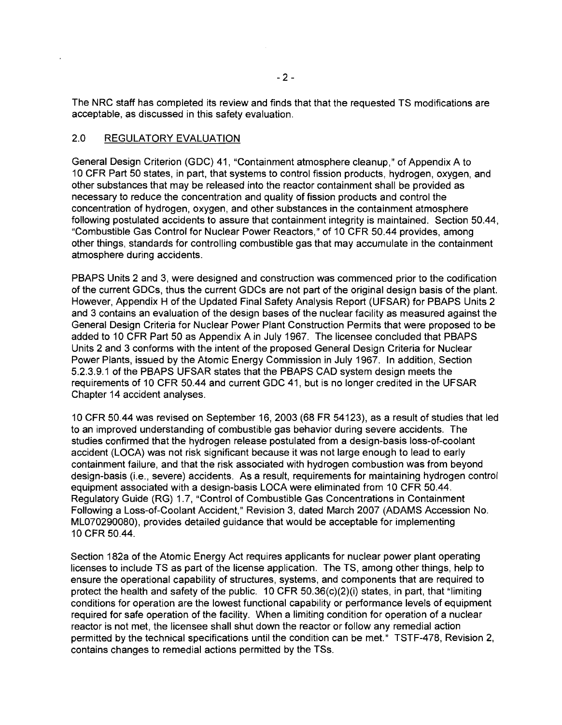The NRC staff has completed its review and finds that that the requested TS modifications are acceptable, as discussed in this safety evaluation.

### 2.0 REGULATORY EVALUATION

General Design Criterion (GDC) 41, "Containment atmosphere cleanup," of Appendix A to 10 CFR Part 50 states, in part, that systems to control fission products, hydrogen, oxygen, and other substances that may be released into the reactor containment shall be provided as necessary to reduce the concentration and quality of fission products and control the concentration of hydrogen, oxygen, and other substances in the containment atmosphere following postulated accidents to assure that containment integrity is maintained. Section 50.44, "Combustible Gas Control for Nuclear Power Reactors," of 10 CFR 50.44 provides, among other things, standards for controlling combustible gas that may accumulate in the containment atmosphere during accidents.

PBAPS Units 2 and 3, were designed and construction was commenced prior to the codification of the current GDCs, thus the current GDCs are not part of the original design basis of the plant. However, Appendix H of the Updated Final Safety Analysis Report (UFSAR) for PBAPS Units 2 and 3 contains an evaluation of the design bases of the nuclear facility as measured against the General Design Criteria for Nuclear Power Plant Construction Permits that were proposed to be added to 10 CFR Part 50 as Appendix A in July 1967. The licensee concluded that PBAPS Units 2 and 3 conforms with the intent of the proposed General Design Criteria for Nuclear Power Plants, issued by the Atomic Energy Commission in July 1967. In addition, Section 5.2.3.9.1 of the PBAPS UFSAR states that the PBAPS CAD system design meets the requirements of 10 CFR 50.44 and current GDC 41, but is no longer credited in the UFSAR Chapter 14 accident analyses.

10 CFR 50.44 was revised on September 16, 2003 (68 FR 54123), as a result of studies that led to an improved understanding of combustible gas behavior during severe accidents. The studies confirmed that the hydrogen release postulated from a design-basis loss-of-coolant accident (LOCA) was not risk significant because it was not large enough to lead to early containment failure, and that the risk associated with hydrogen combustion was from beyond design-basis (i.e., severe) accidents. As a result, requirements for maintaining hydrogen control equipment associated with a design-basis LOCA were eliminated from 10 CFR 50.44. Regulatory Guide (RG) 1.7, "Control of Combustible Gas Concentrations in Containment Following a Loss-of-Coolant Accident," Revision 3, dated March 2007 (ADAMS Accession No. ML070290080), provides detailed guidance that would be acceptable for implementing 10 CFR 50.44.

Section 182a of the Atomic Energy Act requires applicants for nuclear power plant operating licenses to include TS as part of the license application. The TS, among other things, help to ensure the operational capability of structures, systems, and components that are required to protect the health and safety of the public. 10 CFR 50.36(c)(2)(i) states, in part, that "limiting conditions for operation are the lowest functional capability or performance levels of equipment required for safe operation of the facility. When a limiting condition for operation of a nuclear reactor is not met, the licensee shall shut down the reactor or follow any remedial action permitted by the technical specifications until the condition can be met." TSTF-478, Revision 2, contains changes to remedial actions permitted by the TSs.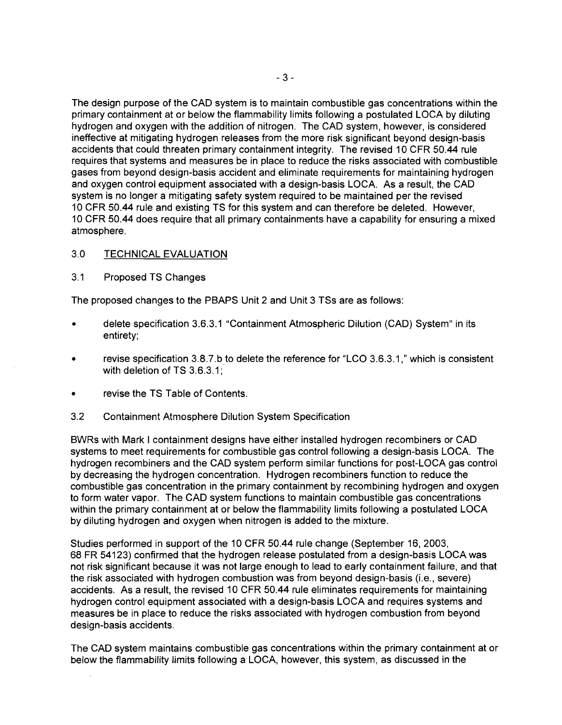The design purpose of the CAD system is to maintain combustible gas concentrations within the primary containment at or below the flammability limits following a postulated LOCA by diluting hydrogen and oxygen with the addition of nitrogen. The CAD system, however, is considered ineffective at mitigating hydrogen releases from the more risk significant beyond design-basis accidents that could threaten primary containment integrity. The revised 10 CFR 50.44 rule requires that systems and measures be in place to reduce the risks associated with combustible gases from beyond design-basis accident and eliminate requirements for maintaining hydrogen and oxygen control equipment associated with a design-basis LOCA. As a result, the CAD system is no longer a mitigating safety system required to be maintained per the revised 10 CFR 50.44 rule and existing TS for this system and can therefore be deleted. However, 10 CFR 50.44 does require that all primary containments have a capability for ensuring a mixed atmosphere.

### 3.0 TECHNICAL EVALUATION

3.1 Proposed TS Changes

The proposed changes to the PBAPS Unit 2 and Unit 3 TSs are as follows:

- delete specification 3.6.3.1 "Containment Atmospheric Dilution (CAD) System" in its entirety;
- revise specification 3.8.7.b to delete the reference for "LCO 3.6.3.1," which is consistent with deletion of TS 3.6.3.1:
- revise the TS Table of Contents.
- 3.2 Containment Atmosphere Dilution System Specification

BWRs with Mark I containment designs have either installed hydrogen recombiners or CAD systems to meet requirements for combustible gas control following a design-basis LOCA. The hydrogen recombiners and the CAD system perform similar functions for post-LOCA gas control by decreasing the hydrogen concentration. Hydrogen recombiners function to reduce the combustible gas concentration in the primary containment by recombining hydrogen and oxygen to form water vapor. The CAD system functions to maintain combustible gas concentrations within the primary containment at or below the flammability limits following a postulated LOCA by diluting hydrogen and oxygen when nitrogen is added to the mixture.

Studies performed in support of the 10 CFR 50.44 rule change (September 16, 2003, 68 FR 54123) confirmed that the hydrogen release postulated from a design-basis LOCA was not risk significant because it was not large enough to lead to early containment failure, and that the risk associated with hydrogen combustion was from beyond design-basis (i.e., severe) accidents. As a result, the revised 10 CFR 50.44 rule eliminates requirements for maintaining hydrogen control equipment associated with a design-basis LOCA and requires systems and measures be in place to reduce the risks associated with hydrogen combustion from beyond design-basis accidents.

The CAD system maintains combustible gas concentrations within the primary containment at or below the flammability limits following a LOCA, however, this system, as discussed in the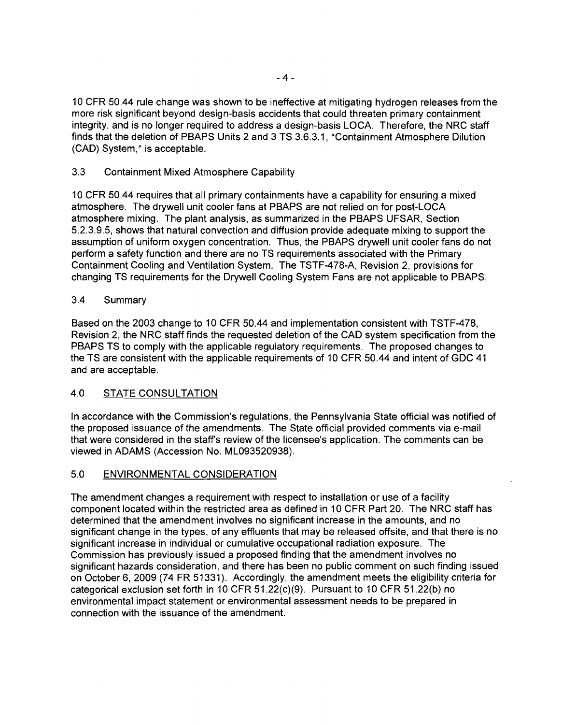10 CFR 50.44 rule change was shown to be ineffective at mitigating hydrogen releases from the more risk significant beyond design-basis accidents that could threaten primary containment integrity, and is no longer required to address a design-basis LOCA. Therefore, the NRC staff finds that the deletion of PBAPS Units 2 and 3 TS 3.6.3.1, "Containment Atmosphere Dilution (CAD) System," is acceptable.

### 3.3 Containment Mixed Atmosphere Capability

10 CFR 50.44 requires that all primary containments have a capability for ensuring a mixed atmosphere. The drywell unit cooler fans at PBAPS are not relied on for post-LOCA atmosphere mixing. The plant analysis, as summarized in the PBAPS UFSAR, Section 5.2.3.9.5, shows that natural convection and diffusion provide adequate mixing to support the assumption of uniform oxygen concentration. Thus, the PBAPS drywell unit cooler fans do not perform a safety function and there are no TS requirements associated with the Primary Containment Cooling and Ventilation System. The TSTF-478-A, Revision 2, provisions for changing TS requirements for the Drywell Cooling System Fans are not applicable to PBAPS.

### 3.4 Summary

Based on the 2003 change to 10 CFR 50.44 and implementation consistent with TSTF-478, Revision 2, the NRC staff finds the requested deletion of the CAD system specification from the PBAPS TS to comply with the applicable regulatory requirements. The proposed changes to the TS are consistent with the applicable requirements of 10 CFR 50.44 and intent of GDC 41 and are acceptable.

### 4.0 STATE CONSULTATION

In accordance with the Commission's regulations, the Pennsylvania State official was notified of the proposed issuance of the amendments. The State official provided comments via e-mail that were considered in the staff's review of the licensee's application. The comments can be viewed in ADAMS (Accession No. ML093520938).

### 5.0 ENVIRONMENTAL CONSIDERATION

The amendment changes a requirement with respect to installation or use of a facility component located within the restricted area as defined in 10 CFR Part 20. The NRC staff has determined that the amendment involves no significant increase in the amounts, and no significant change in the types, of any effluents that may be released offsite, and that there is no significant increase in individual or cumulative occupational radiation exposure. The Commission has previously issued a proposed finding that the amendment involves no significant hazards consideration, and there has been no public comment on such finding issued on October 6,2009 (74 FR 51331). Accordingly, the amendment meets the eligibility criteria for categorical exclusion set forth in 10 CFR 51.22(c)(9). Pursuant to 10 CFR 51.22(b) no environmental impact statement or environmental assessment needs to be prepared in connection with the issuance of the amendment.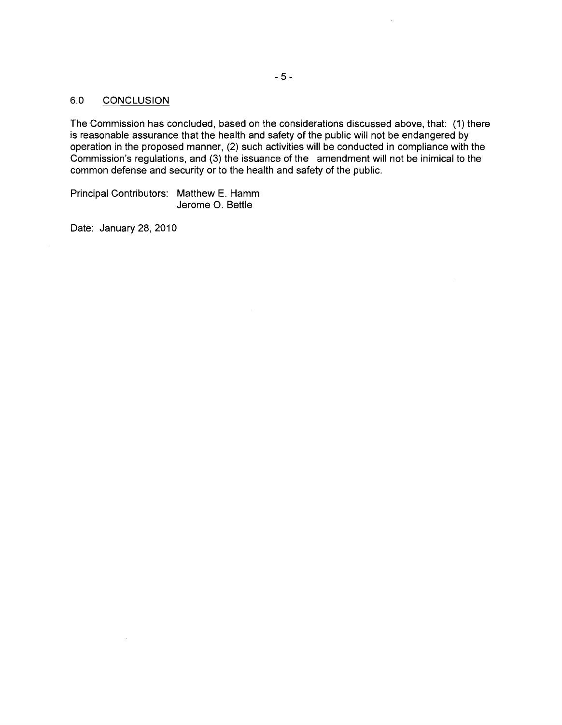### 6.0 CONCLUSION

The Commission has concluded, based on the considerations discussed above, that: (1) there is reasonable assurance that the health and safety of the public will not be endangered by operation in the proposed manner, (2) such activities will be conducted in compliance with the Commission's regulations, and (3) the issuance of the amendment will not be inimical to the common defense and security or to the health and safety of the public.

Principal Contributors: Matthew E. Hamm Jerome O. Bettie

Date: January 28, 2010